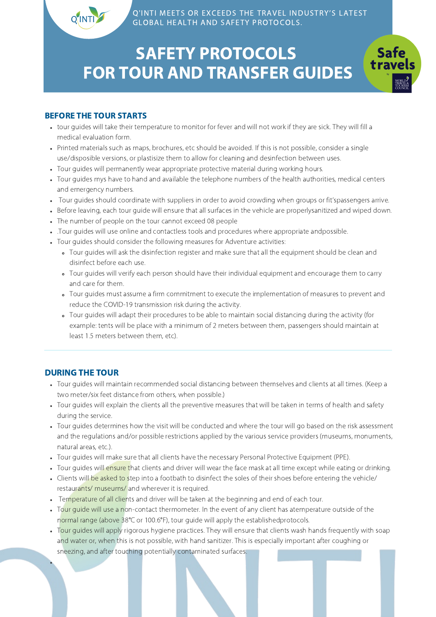Q'INTI MEETS OR EXCEEDS THE TRAVEL INDUSTRY'S LATEST GLOBAL HEALTH AND SAFETY PROTOCOLS.

> **Safe** trave

# SAFETY PROTOCOLS FOR TOUR AND TRANSFER GUIDES

#### BEFORE THE TOUR STARTS

- tour guides will take their temperature to monitor for fever and will not work if they are sick. They will fill a medical evaluation form.
- Printed materials such as maps, brochures, etc should be avoided. If this is not possible, consider a single use/disposible versions, or plastisize them to allow for cleaning and desinfection between uses.
- Tour guides will permanently wear appropriate protective material during working hours.
- Tour guides mys have to hand and available the telephone numbers of the health authorities, medical centers and emergency numbers.
- Tour guides should coordinate with suppliers in order to avoid crowding when groups or fit'spassengers arrive.
- Before leaving, each tour guide will ensure that all surfaces in the vehicle are properlysanitized and wiped down.
- The number of people on the tour cannot exceed 08 people
- .Tour guides will use online and contactless tools and procedures where appropriate andpossible.
- Tour guides should consider the following measures for Adventure activities:
	- Tour guides will ask the disinfection register and make sure that all the equipment should be clean and disinfect before each use.
	- Tour guides will verify each person should have their individual equipment and encourage them to carry and care for them.
	- Tour guides must assume a firm commitment to execute the implementation of measures to prevent and reduce the COVID-19 transmission risk during the activity.
	- Tour guides will adapt their procedures to be able to maintain social distancing during the activity (for example: tents will be place with a minimum of 2 meters between them, passengers should maintain at least 1.5 meters between them, etc).

### DURING THE TOUR

- Tour guides will maintain recommended social distancing between themselves and clients at all times. (Keep a two meter/six feet distance from others, when possible.)
- Tour guides will explain the clients all the preventive measures that will be taken in terms of health and safety during the service.
- Tour guides determines how the visit will be conducted and where the tour will go based on the risk assessment and the regulations and/or possible restrictions applied by the various service providers (museums, monuments, natural areas, etc.).
- Tour guides will make sure that all clients have the necessary Personal Protective Equipment (PPE).
- Tour guides will ensure that clients and driver will wear the face mask at all time except while eating or drinking.
- Clients will be asked to step into a footbath to disinfect the soles of their shoes before entering the vehicle/ restaurants/ museums/ and wherever it is required.
- . Temperature of all clients and driver will be taken at the beginning and end of each tour.
- Tour guide will use a non-contact thermometer. In the event of any client has atemperature outside of the normal range (above 38°C or 100.6°F), tour guide will apply the establishedprotocols.
- Tour guides will apply rigorous hygiene practices. They will ensure that clients wash hands frequently with soap and water or, when this is not possible, with hand sanitizer. This is especially important after coughing or sneezing, and after touching potentially contaminated surfaces.